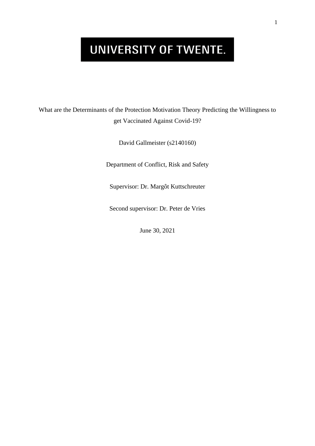# UNIVERSITY OF TWENTE.

What are the Determinants of the Protection Motivation Theory Predicting the Willingness to get Vaccinated Against Covid-19?

David Gallmeister (s2140160)

Department of Conflict, Risk and Safety

Supervisor: Dr. Margôt Kuttschreuter

Second supervisor: Dr. Peter de Vries

June 30, 2021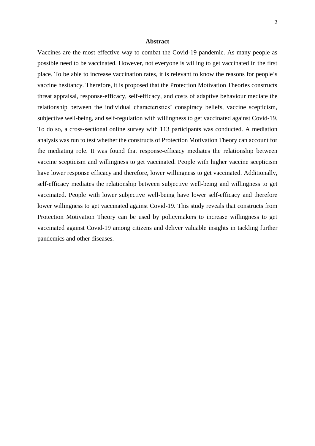#### **Abstract**

Vaccines are the most effective way to combat the Covid-19 pandemic. As many people as possible need to be vaccinated. However, not everyone is willing to get vaccinated in the first place. To be able to increase vaccination rates, it is relevant to know the reasons for people's vaccine hesitancy. Therefore, it is proposed that the Protection Motivation Theories constructs threat appraisal, response-efficacy, self-efficacy, and costs of adaptive behaviour mediate the relationship between the individual characteristics' conspiracy beliefs, vaccine scepticism, subjective well-being, and self-regulation with willingness to get vaccinated against Covid-19. To do so, a cross-sectional online survey with 113 participants was conducted. A mediation analysis was run to test whether the constructs of Protection Motivation Theory can account for the mediating role. It was found that response-efficacy mediates the relationship between vaccine scepticism and willingness to get vaccinated. People with higher vaccine scepticism have lower response efficacy and therefore, lower willingness to get vaccinated. Additionally, self-efficacy mediates the relationship between subjective well-being and willingness to get vaccinated. People with lower subjective well-being have lower self-efficacy and therefore lower willingness to get vaccinated against Covid-19. This study reveals that constructs from Protection Motivation Theory can be used by policymakers to increase willingness to get vaccinated against Covid-19 among citizens and deliver valuable insights in tackling further pandemics and other diseases.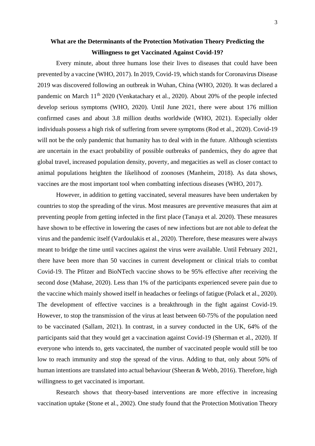## **What are the Determinants of the Protection Motivation Theory Predicting the Willingness to get Vaccinated Against Covid-19?**

Every minute, about three humans lose their lives to diseases that could have been prevented by a vaccine (WHO, 2017). In 2019, Covid-19, which stands for Coronavirus Disease 2019 was discovered following an outbreak in Wuhan, China (WHO, 2020). It was declared a pandemic on March 11th 2020 (Venkatachary et al., 2020). About 20% of the people infected develop serious symptoms (WHO, 2020). Until June 2021, there were about 176 million confirmed cases and about 3.8 million deaths worldwide (WHO, 2021). Especially older individuals possess a high risk of suffering from severe symptoms (Rod et al., 2020). Covid-19 will not be the only pandemic that humanity has to deal with in the future. Although scientists are uncertain in the exact probability of possible outbreaks of pandemics, they do agree that global travel, increased population density, poverty, and megacities as well as closer contact to animal populations heighten the likelihood of zoonoses (Manheim, 2018). As data shows, vaccines are the most important tool when combatting infectious diseases (WHO, 2017).

However, in addition to getting vaccinated, several measures have been undertaken by countries to stop the spreading of the virus. Most measures are preventive measures that aim at preventing people from getting infected in the first place (Tanaya et al. 2020). These measures have shown to be effective in lowering the cases of new infections but are not able to defeat the virus and the pandemic itself (Vardoulakis et al., 2020). Therefore, these measures were always meant to bridge the time until vaccines against the virus were available. Until February 2021, there have been more than 50 vaccines in current development or clinical trials to combat Covid-19. The Pfitzer and BioNTech vaccine shows to be 95% effective after receiving the second dose (Mahase, 2020). Less than 1% of the participants experienced severe pain due to the vaccine which mainly showed itself in headaches or feelings of fatigue (Polack et al., 2020). The development of effective vaccines is a breakthrough in the fight against Covid-19. However, to stop the transmission of the virus at least between 60-75% of the population need to be vaccinated (Sallam, 2021). In contrast, in a survey conducted in the UK, 64% of the participants said that they would get a vaccination against Covid-19 (Sherman et al., 2020). If everyone who intends to, gets vaccinated, the number of vaccinated people would still be too low to reach immunity and stop the spread of the virus. Adding to that, only about 50% of human intentions are translated into actual behaviour (Sheeran & Webb, 2016). Therefore, high willingness to get vaccinated is important.

Research shows that theory-based interventions are more effective in increasing vaccination uptake (Stone et al., 2002). One study found that the Protection Motivation Theory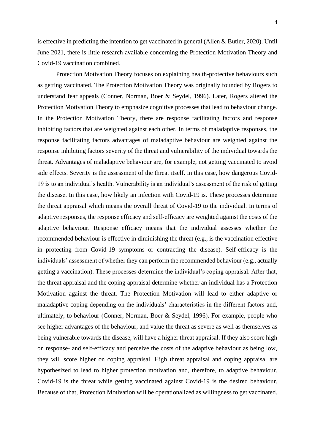is effective in predicting the intention to get vaccinated in general (Allen & Butler, 2020). Until June 2021, there is little research available concerning the Protection Motivation Theory and Covid-19 vaccination combined.

Protection Motivation Theory focuses on explaining health-protective behaviours such as getting vaccinated. The Protection Motivation Theory was originally founded by Rogers to understand fear appeals (Conner, Norman, Boer & Seydel, 1996). Later, Rogers altered the Protection Motivation Theory to emphasize cognitive processes that lead to behaviour change. In the Protection Motivation Theory, there are response facilitating factors and response inhibiting factors that are weighted against each other. In terms of maladaptive responses, the response facilitating factors advantages of maladaptive behaviour are weighted against the response inhibiting factors severity of the threat and vulnerability of the individual towards the threat. Advantages of maladaptive behaviour are, for example, not getting vaccinated to avoid side effects. Severity is the assessment of the threat itself. In this case, how dangerous Covid-19 is to an individual's health. Vulnerability is an individual's assessment of the risk of getting the disease. In this case, how likely an infection with Covid-19 is. These processes determine the threat appraisal which means the overall threat of Covid-19 to the individual. In terms of adaptive responses, the response efficacy and self-efficacy are weighted against the costs of the adaptive behaviour. Response efficacy means that the individual assesses whether the recommended behaviour is effective in diminishing the threat (e.g., is the vaccination effective in protecting from Covid-19 symptoms or contracting the disease). Self-efficacy is the individuals' assessment of whether they can perform the recommended behaviour (e.g., actually getting a vaccination). These processes determine the individual's coping appraisal. After that, the threat appraisal and the coping appraisal determine whether an individual has a Protection Motivation against the threat. The Protection Motivation will lead to either adaptive or maladaptive coping depending on the individuals' characteristics in the different factors and, ultimately, to behaviour (Conner, Norman, Boer & Seydel, 1996). For example, people who see higher advantages of the behaviour, and value the threat as severe as well as themselves as being vulnerable towards the disease, will have a higher threat appraisal. If they also score high on response- and self-efficacy and perceive the costs of the adaptive behaviour as being low, they will score higher on coping appraisal. High threat appraisal and coping appraisal are hypothesized to lead to higher protection motivation and, therefore, to adaptive behaviour. Covid-19 is the threat while getting vaccinated against Covid-19 is the desired behaviour. Because of that, Protection Motivation will be operationalized as willingness to get vaccinated.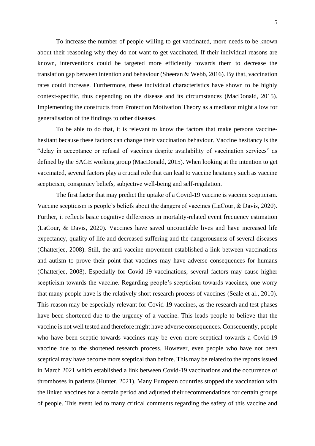To increase the number of people willing to get vaccinated, more needs to be known about their reasoning why they do not want to get vaccinated. If their individual reasons are known, interventions could be targeted more efficiently towards them to decrease the translation gap between intention and behaviour (Sheeran & Webb, 2016). By that, vaccination rates could increase. Furthermore, these individual characteristics have shown to be highly context-specific, thus depending on the disease and its circumstances (MacDonald, 2015). Implementing the constructs from Protection Motivation Theory as a mediator might allow for generalisation of the findings to other diseases.

To be able to do that, it is relevant to know the factors that make persons vaccinehesitant because these factors can change their vaccination behaviour. Vaccine hesitancy is the "delay in acceptance or refusal of vaccines despite availability of vaccination services" as defined by the SAGE working group (MacDonald, 2015). When looking at the intention to get vaccinated, several factors play a crucial role that can lead to vaccine hesitancy such as vaccine scepticism, conspiracy beliefs, subjective well-being and self-regulation.

The first factor that may predict the uptake of a Covid-19 vaccine is vaccine scepticism. Vaccine scepticism is people's beliefs about the dangers of vaccines (LaCour, & Davis, 2020). Further, it reflects basic cognitive differences in mortality-related event frequency estimation (LaCour, & Davis, 2020). Vaccines have saved uncountable lives and have increased life expectancy, quality of life and decreased suffering and the dangerousness of several diseases (Chatterjee, 2008). Still, the anti-vaccine movement established a link between vaccinations and autism to prove their point that vaccines may have adverse consequences for humans (Chatterjee, 2008). Especially for Covid-19 vaccinations, several factors may cause higher scepticism towards the vaccine. Regarding people's scepticism towards vaccines, one worry that many people have is the relatively short research process of vaccines (Seale et al., 2010). This reason may be especially relevant for Covid-19 vaccines, as the research and test phases have been shortened due to the urgency of a vaccine. This leads people to believe that the vaccine is not well tested and therefore might have adverse consequences. Consequently, people who have been sceptic towards vaccines may be even more sceptical towards a Covid-19 vaccine due to the shortened research process. However, even people who have not been sceptical may have become more sceptical than before. This may be related to the reports issued in March 2021 which established a link between Covid-19 vaccinations and the occurrence of thromboses in patients (Hunter, 2021). Many European countries stopped the vaccination with the linked vaccines for a certain period and adjusted their recommendations for certain groups of people. This event led to many critical comments regarding the safety of this vaccine and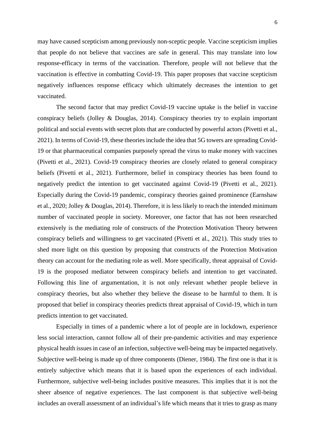may have caused scepticism among previously non-sceptic people. Vaccine scepticism implies that people do not believe that vaccines are safe in general. This may translate into low response-efficacy in terms of the vaccination. Therefore, people will not believe that the vaccination is effective in combatting Covid-19. This paper proposes that vaccine scepticism negatively influences response efficacy which ultimately decreases the intention to get vaccinated.

The second factor that may predict Covid-19 vaccine uptake is the belief in vaccine conspiracy beliefs (Jolley & Douglas, 2014). Conspiracy theories try to explain important political and social events with secret plots that are conducted by powerful actors (Pivetti et al., 2021). In terms of Covid-19, these theories include the idea that 5G towers are spreading Covid-19 or that pharmaceutical companies purposely spread the virus to make money with vaccines (Pivetti et al., 2021). Covid-19 conspiracy theories are closely related to general conspiracy beliefs (Pivetti et al., 2021). Furthermore, belief in conspiracy theories has been found to negatively predict the intention to get vaccinated against Covid-19 (Pivetti et al., 2021). Especially during the Covid-19 pandemic, conspiracy theories gained prominence (Earnshaw et al., 2020; Jolley & Douglas, 2014). Therefore, it is less likely to reach the intended minimum number of vaccinated people in society. Moreover, one factor that has not been researched extensively is the mediating role of constructs of the Protection Motivation Theory between conspiracy beliefs and willingness to get vaccinated (Pivetti et al., 2021). This study tries to shed more light on this question by proposing that constructs of the Protection Motivation theory can account for the mediating role as well. More specifically, threat appraisal of Covid-19 is the proposed mediator between conspiracy beliefs and intention to get vaccinated. Following this line of argumentation, it is not only relevant whether people believe in conspiracy theories, but also whether they believe the disease to be harmful to them. It is proposed that belief in conspiracy theories predicts threat appraisal of Covid-19, which in turn predicts intention to get vaccinated.

Especially in times of a pandemic where a lot of people are in lockdown, experience less social interaction, cannot follow all of their pre-pandemic activities and may experience physical health issues in case of an infection, subjective well-being may be impacted negatively. Subjective well-being is made up of three components (Diener, 1984). The first one is that it is entirely subjective which means that it is based upon the experiences of each individual. Furthermore, subjective well-being includes positive measures. This implies that it is not the sheer absence of negative experiences. The last component is that subjective well-being includes an overall assessment of an individual's life which means that it tries to grasp as many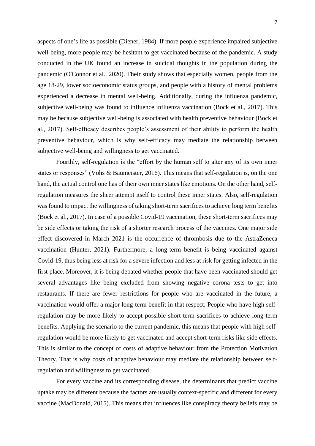aspects of one's life as possible (Diener, 1984). If more people experience impaired subjective well-being, more people may be hesitant to get vaccinated because of the pandemic. A study conducted in the UK found an increase in suicidal thoughts in the population during the pandemic (O'Connor et al., 2020). Their study shows that especially women, people from the age 18-29, lower socioeconomic status groups, and people with a history of mental problems experienced a decrease in mental well-being. Additionally, during the influenza pandemic, subjective well-being was found to influence influenza vaccination (Bock et al., 2017). This may be because subjective well-being is associated with health preventive behaviour (Bock et al., 2017). Self-efficacy describes people's assessment of their ability to perform the health preventive behaviour, which is why self-efficacy may mediate the relationship between subjective well-being and willingness to get vaccinated.

Fourthly, self-regulation is the "effort by the human self to alter any of its own inner states or responses" (Vohs & Baumeister, 2016). This means that self-regulation is, on the one hand, the actual control one has of their own inner states like emotions. On the other hand, selfregulation measures the sheer attempt itself to control these inner states. Also, self-regulation was found to impact the willingness of taking short-term sacrifices to achieve long term benefits (Bock et al., 2017). In case of a possible Covid-19 vaccination, these short-term sacrifices may be side effects or taking the risk of a shorter research process of the vaccines. One major side effect discovered in March 2021 is the occurrence of thrombosis due to the AstraZeneca vaccination (Hunter, 2021). Furthermore, a long-term benefit is being vaccinated against Covid-19, thus being less at risk for a severe infection and less at risk for getting infected in the first place. Moreover, it is being debated whether people that have been vaccinated should get several advantages like being excluded from showing negative corona tests to get into restaurants. If there are fewer restrictions for people who are vaccinated in the future, a vaccination would offer a major long-term benefit in that respect. People who have high selfregulation may be more likely to accept possible short-term sacrifices to achieve long term benefits. Applying the scenario to the current pandemic, this means that people with high selfregulation would be more likely to get vaccinated and accept short-term risks like side effects. This is similar to the concept of costs of adaptive behaviour from the Protection Motivation Theory. That is why costs of adaptive behaviour may mediate the relationship between selfregulation and willingness to get vaccinated.

For every vaccine and its corresponding disease, the determinants that predict vaccine uptake may be different because the factors are usually context-specific and different for every vaccine (MacDonald, 2015). This means that influences like conspiracy theory beliefs may be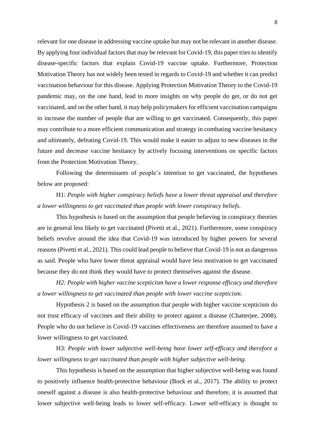relevant for one disease in addressing vaccine uptake but may not be relevant in another disease. By applying four individual factors that may be relevant for Covid-19, this paper tries to identify disease-specific factors that explain Covid-19 vaccine uptake. Furthermore, Protection Motivation Theory has not widely been tested in regards to Covid-19 and whether it can predict vaccination behaviour for this disease. Applying Protection Motivation Theory to the Covid-19 pandemic may, on the one hand, lead to more insights on why people do get, or do not get vaccinated, and on the other hand, it may help policymakers for efficient vaccination campaigns to increase the number of people that are willing to get vaccinated. Consequently, this paper may contribute to a more efficient communication and strategy in combating vaccine hesitancy and ultimately, defeating Covid-19. This would make it easier to adjust to new diseases in the future and decrease vaccine hesitancy by actively focusing interventions on specific factors from the Protection Motivation Theory.

Following the determinants of people's intention to get vaccinated, the hypotheses below are proposed:

H1: *People with higher conspiracy beliefs have a lower threat appraisal and therefore a lower willingness to get vaccinated than people with lower conspiracy beliefs.*

This hypothesis is based on the assumption that people believing in conspiracy theories are in general less likely to get vaccinated (Pivetti et al., 2021). Furthermore, some conspiracy beliefs revolve around the idea that Covid-19 was introduced by higher powers for several reasons (Pivetti et al., 2021). This could lead people to believe that Covid-19 is not as dangerous as said. People who have lower threat appraisal would have less motivation to get vaccinated because they do not think they would have to protect themselves against the disease.

*H2: People with higher vaccine scepticism have a lower response efficacy and therefore a lower willingness to get vaccinated than people with lower vaccine scepticism.*

Hypothesis 2 is based on the assumption that people with higher vaccine scepticism do not trust efficacy of vaccines and their ability to protect against a disease (Chatterjee, 2008). People who do not believe in Covid-19 vaccines effectiveness are therefore assumed to have a lower willingness to get vaccinated.

H3: *People with lower subjective well-being have lower self-efficacy and therefore a lower willingness to get vaccinated than people with higher subjective well-being.*

This hypothesis is based on the assumption that higher subjective well-being was found to positively influence health-protective behaviour (Bock et al., 2017). The ability to protect oneself against a disease is also health-protective behaviour and therefore, it is assumed that lower subjective well-being leads to lower self-efficacy. Lower self-efficacy is thought to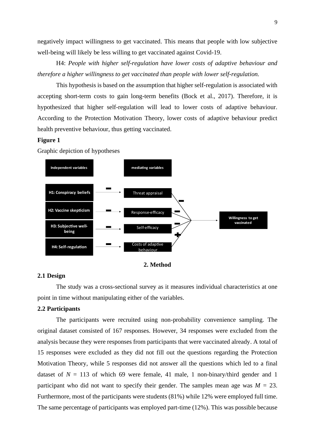negatively impact willingness to get vaccinated. This means that people with low subjective well-being will likely be less willing to get vaccinated against Covid-19.

H4: *People with higher self-regulation have lower costs of adaptive behaviour and therefore a higher willingness to get vaccinated than people with lower self-regulation.*

This hypothesis is based on the assumption that higher self-regulation is associated with accepting short-term costs to gain long-term benefits (Bock et al., 2017). Therefore, it is hypothesized that higher self-regulation will lead to lower costs of adaptive behaviour. According to the Protection Motivation Theory, lower costs of adaptive behaviour predict health preventive behaviour, thus getting vaccinated.

#### **Figure 1**

Graphic depiction of hypotheses



**2. Method**

#### **2.1 Design**

The study was a cross-sectional survey as it measures individual characteristics at one point in time without manipulating either of the variables.

#### **2.2 Participants**

The participants were recruited using non-probability convenience sampling. The original dataset consisted of 167 responses. However, 34 responses were excluded from the analysis because they were responses from participants that were vaccinated already. A total of 15 responses were excluded as they did not fill out the questions regarding the Protection Motivation Theory, while 5 responses did not answer all the questions which led to a final dataset of  $N = 113$  of which 69 were female, 41 male, 1 non-binary/third gender and 1 participant who did not want to specify their gender. The samples mean age was  $M = 23$ . Furthermore, most of the participants were students (81%) while 12% were employed full time. The same percentage of participants was employed part-time (12%). This was possible because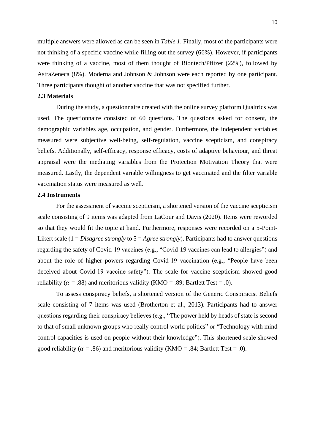multiple answers were allowed as can be seen in *Table 1*. Finally, most of the participants were not thinking of a specific vaccine while filling out the survey (66%). However, if participants were thinking of a vaccine, most of them thought of Biontech/Pfitzer (22%), followed by AstraZeneca (8%). Moderna and Johnson & Johnson were each reported by one participant. Three participants thought of another vaccine that was not specified further.

#### **2.3 Materials**

During the study, a questionnaire created with the online survey platform Qualtrics was used. The questionnaire consisted of 60 questions. The questions asked for consent, the demographic variables age, occupation, and gender. Furthermore, the independent variables measured were subjective well-being, self-regulation, vaccine scepticism, and conspiracy beliefs. Additionally, self-efficacy, response efficacy, costs of adaptive behaviour, and threat appraisal were the mediating variables from the Protection Motivation Theory that were measured. Lastly, the dependent variable willingness to get vaccinated and the filter variable vaccination status were measured as well.

#### **2.4 Instruments**

For the assessment of vaccine scepticism, a shortened version of the vaccine scepticism scale consisting of 9 items was adapted from LaCour and Davis (2020). Items were reworded so that they would fit the topic at hand. Furthermore, responses were recorded on a 5-Point-Likert scale (1 = *Disagree strongly* to 5 = *Agree strongly*). Participants had to answer questions regarding the safety of Covid-19 vaccines (e.g., "Covid-19 vaccines can lead to allergies") and about the role of higher powers regarding Covid-19 vaccination (e.g., "People have been deceived about Covid-19 vaccine safety"). The scale for vaccine scepticism showed good reliability ( $\alpha = .88$ ) and meritorious validity (KMO = .89; Bartlett Test = .0).

To assess conspiracy beliefs, a shortened version of the Generic Conspiracist Beliefs scale consisting of 7 items was used (Brotherton et al., 2013). Participants had to answer questions regarding their conspiracy believes (e.g., "The power held by heads of state is second to that of small unknown groups who really control world politics" or "Technology with mind control capacities is used on people without their knowledge"). This shortened scale showed good reliability ( $\alpha = .86$ ) and meritorious validity (KMO = .84; Bartlett Test = .0).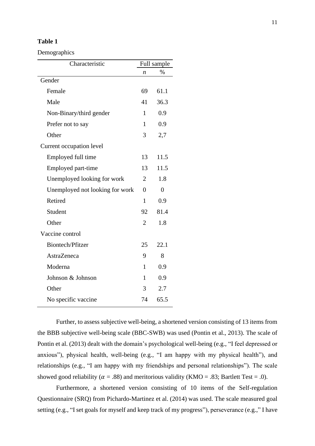## **Table 1**

Demographics

| Characteristic                  | Full sample    |                |  |
|---------------------------------|----------------|----------------|--|
|                                 | n              | %              |  |
| Gender                          |                |                |  |
| Female                          | 69             | 61.1           |  |
| Male                            | 41             | 36.3           |  |
| Non-Binary/third gender         | 1              | 0.9            |  |
| Prefer not to say               | 1              | 0.9            |  |
| Other                           | 3              | 2,7            |  |
| Current occupation level        |                |                |  |
| Employed full time              | 13             | 11.5           |  |
| Employed part-time              | 13             | 11.5           |  |
| Unemployed looking for work     | $\overline{2}$ | 1.8            |  |
| Unemployed not looking for work | $\theta$       | $\overline{0}$ |  |
| Retired                         | 1              | 0.9            |  |
| Student                         | 92             | 81.4           |  |
| Other                           | $\overline{2}$ | 1.8            |  |
| Vaccine control                 |                |                |  |
| Biontech/Pfitzer                |                | 22.1           |  |
| AstraZeneca                     | 9              | 8              |  |
| Moderna                         | 1              | 0.9            |  |
| Johnson & Johnson               | 1              | 0.9            |  |
| Other                           | 3              | 2.7            |  |
| No specific vaccine             | 74             | 65.5           |  |

Further, to assess subjective well-being, a shortened version consisting of 13 items from the BBB subjective well-being scale (BBC-SWB) was used (Pontin et al., 2013). The scale of Pontin et al. (2013) dealt with the domain's psychological well-being (e.g., "I feel depressed or anxious"), physical health, well-being (e.g., "I am happy with my physical health"), and relationships (e.g., "I am happy with my friendships and personal relationships"). The scale showed good reliability ( $\alpha = .88$ ) and meritorious validity (KMO = .83; Bartlett Test = .0).

Furthermore, a shortened version consisting of 10 items of the Self-regulation Questionnaire (SRQ) from Pichardo-Martinez et al. (2014) was used. The scale measured goal setting (e.g., "I set goals for myself and keep track of my progress"), perseverance (e.g.," I have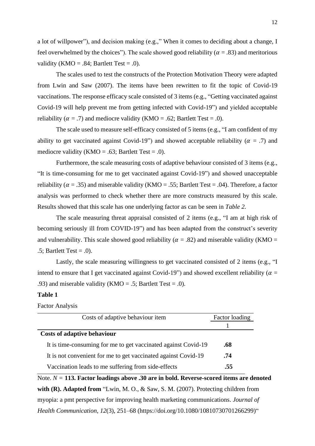a lot of willpower"), and decision making (e.g.," When it comes to deciding about a change, I feel overwhelmed by the choices"). The scale showed good reliability ( $\alpha = .83$ ) and meritorious validity (KMO = .84; Bartlett Test = .0).

The scales used to test the constructs of the Protection Motivation Theory were adapted from Lwin and Saw (2007). The items have been rewritten to fit the topic of Covid-19 vaccinations. The response efficacy scale consisted of 3 items (e.g., "Getting vaccinated against Covid-19 will help prevent me from getting infected with Covid-19") and yielded acceptable reliability ( $\alpha = .7$ ) and mediocre validity (KMO = .62; Bartlett Test = .0).

The scale used to measure self-efficacy consisted of 5 items (e.g., "I am confident of my ability to get vaccinated against Covid-19") and showed acceptable reliability ( $\alpha = .7$ ) and mediocre validity (KMO = .63; Bartlett Test = .0).

Furthermore, the scale measuring costs of adaptive behaviour consisted of 3 items (e.g., "It is time-consuming for me to get vaccinated against Covid-19") and showed unacceptable reliability ( $\alpha = .35$ ) and miserable validity (KMO = .55; Bartlett Test = .04). Therefore, a factor analysis was performed to check whether there are more constructs measured by this scale. Results showed that this scale has one underlying factor as can be seen in *Table 2.*

The scale measuring threat appraisal consisted of 2 items (e.g., "I am at high risk of becoming seriously ill from COVID-19") and has been adapted from the construct's severity and vulnerability. This scale showed good reliability ( $\alpha = .82$ ) and miserable validity (KMO =  $.5$ ; Bartlett Test =  $.0$ ).

Lastly, the scale measuring willingness to get vaccinated consisted of 2 items (e.g., "I intend to ensure that I get vaccinated against Covid-19") and showed excellent reliability ( $\alpha$  = .93) and miserable validity (KMO = .5; Bartlett Test = .0).

#### **Table 1**

Factor Analysis

| Costs of adaptive behaviour item                               | Factor loading |  |
|----------------------------------------------------------------|----------------|--|
|                                                                |                |  |
| <b>Costs of adaptive behaviour</b>                             |                |  |
| It is time-consuming for me to get vaccinated against Covid-19 | .68            |  |
| It is not convenient for me to get vaccinated against Covid-19 | .74            |  |
| Vaccination leads to me suffering from side-effects            | 55             |  |

Note. *N =* **113. Factor loadings above .30 are in bold. Reverse-scored items are denoted with (R). Adapted from** "Lwin, M. O., & Saw, S. M. (2007). Protecting children from myopia: a pmt perspective for improving health marketing communications. *Journal of Health Communication*, *12*(3), 251–68 (https://doi.org/10.1080/10810730701266299)"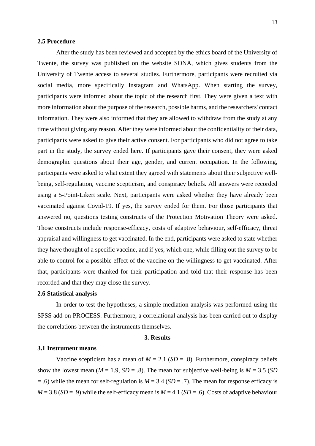#### **2.5 Procedure**

After the study has been reviewed and accepted by the ethics board of the University of Twente, the survey was published on the website SONA, which gives students from the University of Twente access to several studies. Furthermore, participants were recruited via social media, more specifically Instagram and WhatsApp. When starting the survey, participants were informed about the topic of the research first. They were given a text with more information about the purpose of the research, possible harms, and the researchers' contact information. They were also informed that they are allowed to withdraw from the study at any time without giving any reason. After they were informed about the confidentiality of their data, participants were asked to give their active consent. For participants who did not agree to take part in the study, the survey ended here. If participants gave their consent, they were asked demographic questions about their age, gender, and current occupation. In the following, participants were asked to what extent they agreed with statements about their subjective wellbeing, self-regulation, vaccine scepticism, and conspiracy beliefs. All answers were recorded using a 5-Point-Likert scale. Next, participants were asked whether they have already been vaccinated against Covid-19. If yes, the survey ended for them. For those participants that answered no, questions testing constructs of the Protection Motivation Theory were asked. Those constructs include response-efficacy, costs of adaptive behaviour, self-efficacy, threat appraisal and willingness to get vaccinated. In the end, participants were asked to state whether they have thought of a specific vaccine, and if yes, which one, while filling out the survey to be able to control for a possible effect of the vaccine on the willingness to get vaccinated. After that, participants were thanked for their participation and told that their response has been recorded and that they may close the survey.

#### **2.6 Statistical analysis**

In order to test the hypotheses, a simple mediation analysis was performed using the SPSS add-on PROCESS. Furthermore, a correlational analysis has been carried out to display the correlations between the instruments themselves.

#### **3. Results**

#### **3.1 Instrument means**

Vaccine scepticism has a mean of  $M = 2.1$  (*SD* = .8). Furthermore, conspiracy beliefs show the lowest mean ( $M = 1.9$ ,  $SD = .8$ ). The mean for subjective well-being is  $M = 3.5$  (*SD*)  $=$  .6) while the mean for self-regulation is *M* = 3.4 (*SD* = .7). The mean for response efficacy is  $M = 3.8$  (*SD* = .9) while the self-efficacy mean is  $M = 4.1$  (*SD* = .6). Costs of adaptive behaviour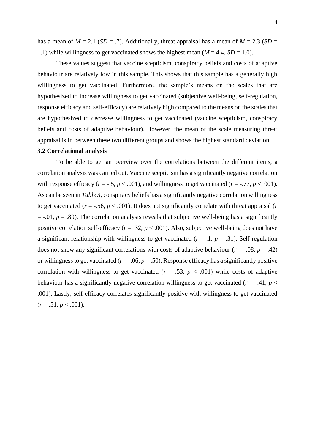has a mean of  $M = 2.1$  (*SD* = .7). Additionally, threat appraisal has a mean of  $M = 2.3$  (*SD* = 1.1) while willingness to get vaccinated shows the highest mean  $(M = 4.4, SD = 1.0)$ .

These values suggest that vaccine scepticism, conspiracy beliefs and costs of adaptive behaviour are relatively low in this sample. This shows that this sample has a generally high willingness to get vaccinated. Furthermore, the sample's means on the scales that are hypothesized to increase willingness to get vaccinated (subjective well-being, self-regulation, response efficacy and self-efficacy) are relatively high compared to the means on the scales that are hypothesized to decrease willingness to get vaccinated (vaccine scepticism, conspiracy beliefs and costs of adaptive behaviour). However, the mean of the scale measuring threat appraisal is in between these two different groups and shows the highest standard deviation.

#### **3.2 Correlational analysis**

To be able to get an overview over the correlations between the different items, a correlation analysis was carried out. Vaccine scepticism has a significantly negative correlation with response efficacy ( $r = -0.5$ ,  $p < .001$ ), and willingness to get vaccinated ( $r = -0.77$ ,  $p < .001$ ). As can be seen in *Table 3*, conspiracy beliefs has a significantly negative correlation willingness to get vaccinated ( $r = -0.56$ ,  $p < 0.001$ ). It does not significantly correlate with threat appraisal ( $r = 0.001$ ).  $=$  -.01,  $p = .89$ ). The correlation analysis reveals that subjective well-being has a significantly positive correlation self-efficacy ( $r = .32$ ,  $p < .001$ ). Also, subjective well-being does not have a significant relationship with willingness to get vaccinated  $(r = .1, p = .31)$ . Self-regulation does not show any significant correlations with costs of adaptive behaviour ( $r = -0.08$ ,  $p = .42$ ) or willingness to get vaccinated ( $r = -0.06$ ,  $p = 0.50$ ). Response efficacy has a significantly positive correlation with willingness to get vaccinated ( $r = .53$ ,  $p < .001$ ) while costs of adaptive behaviour has a significantly negative correlation willingness to get vaccinated ( $r = -0.41$ ,  $p <$ .001). Lastly, self-efficacy correlates significantly positive with willingness to get vaccinated  $(r = .51, p < .001)$ .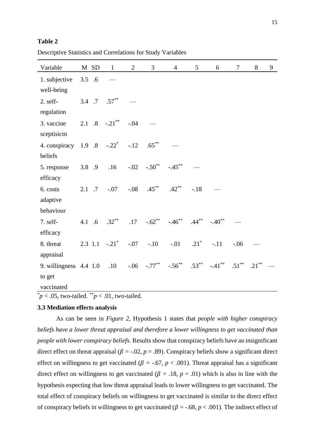| Variable                                                                              |       | M SD | $\mathbf{1}$                    | $\overline{2}$ | 3                   | $\overline{4}$ | 5 <sup>5</sup> | 6        | 7        | 8        | 9 |
|---------------------------------------------------------------------------------------|-------|------|---------------------------------|----------------|---------------------|----------------|----------------|----------|----------|----------|---|
| 1. subjective                                                                         | 3.5.6 |      |                                 |                |                     |                |                |          |          |          |   |
| well-being                                                                            |       |      |                                 |                |                     |                |                |          |          |          |   |
| 2. self-                                                                              |       |      | 3.4 .7 $.57***$                 |                |                     |                |                |          |          |          |   |
| regulation                                                                            |       |      |                                 |                |                     |                |                |          |          |          |   |
| 3. vaccine                                                                            |       |      | 2.1 .8 $-.21***$                | $-.04$         |                     |                |                |          |          |          |   |
| sceptisicm                                                                            |       |      |                                 |                |                     |                |                |          |          |          |   |
| 4. conspiracy $1.9 \t .8 \t -0.22^*$                                                  |       |      |                                 | $-.12$         | $.65***$            |                |                |          |          |          |   |
| beliefs                                                                               |       |      |                                 |                |                     |                |                |          |          |          |   |
| 5. response                                                                           |       |      | 3.8 .9 .16 $-.02$ $-.50^{**}$   |                |                     | $-.45***$      |                |          |          |          |   |
| efficacy                                                                              |       |      |                                 |                |                     |                |                |          |          |          |   |
| 6. costs                                                                              |       |      | 2.1 .7 $-.07$ $-.08$ $.45^{**}$ |                |                     | $.42***$       | $-.18$         |          |          |          |   |
| adaptive                                                                              |       |      |                                 |                |                     |                |                |          |          |          |   |
| behaviour                                                                             |       |      |                                 |                |                     |                |                |          |          |          |   |
| 7. self-                                                                              |       |      | 4.1 .6 $.32^{**}$               |                | $.17-.62***-.46***$ |                |                | $-.40**$ |          |          |   |
| efficacy                                                                              |       |      |                                 |                |                     |                |                |          |          |          |   |
| 8. threat                                                                             |       |      | $2.3$ 1.1 $-.21$ <sup>*</sup>   |                | $-.07-.10-.01-.21*$ |                |                | $-11$    | $-.06$   |          |   |
| appraisal                                                                             |       |      |                                 |                |                     |                |                |          |          |          |   |
| 9. willingness 4.4 1.0 .10 $-0.06$ $-0.77^{**}$ $-0.56^{**}$ $0.53^{**}$ $-0.41^{**}$ |       |      |                                 |                |                     |                |                |          | $.51***$ | $.21***$ |   |
| to get                                                                                |       |      |                                 |                |                     |                |                |          |          |          |   |
| vaccinated                                                                            |       |      |                                 |                |                     |                |                |          |          |          |   |

Descriptive Statistics and Correlations for Study Variables

 $p < .05$ , two-tailed.  $p < .01$ , two-tailed.

#### **3.3 Mediation effects analysis**

As can be seen in *Figure 2,* Hypothesis 1 states that *people with higher conspiracy beliefs have a lower threat appraisal and therefore a lower willingness to get vaccinated than people with lower conspiracy beliefs.* Results show that conspiracy beliefs have an insignificant direct effect on threat appraisal ( $\beta = -0.02$ ,  $p = 0.89$ ). Conspiracy beliefs show a significant direct effect on willingness to get vaccinated ( $\beta$  = -.67,  $p$  < .001). Threat appraisal has a significant direct effect on willingness to get vaccinated ( $\beta = .18$ ,  $p = .01$ ) which is also in line with the hypothesis expecting that low threat appraisal leads to lower willingness to get vaccinated. The total effect of conspiracy beliefs on willingness to get vaccinated is similar to the direct effect of conspiracy beliefs in willingness to get vaccinated ( $\beta = -.68$ ,  $p < .001$ ). The indirect effect of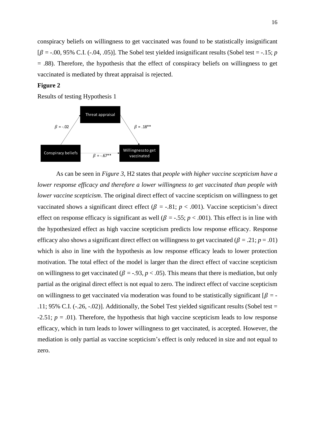conspiracy beliefs on willingness to get vaccinated was found to be statistically insignificant  $\beta$  = -.00, 95% C.I. (-.04, .05)]. The Sobel test yielded insignificant results (Sobel test = -.15; *p*  $=$  .88). Therefore, the hypothesis that the effect of conspiracy beliefs on willingness to get vaccinated is mediated by threat appraisal is rejected.

#### **Figure 2**

Results of testing Hypothesis 1



As can be seen in *Figure 3*, H2 states that *people with higher vaccine scepticism have a lower response efficacy and therefore a lower willingness to get vaccinated than people with lower vaccine scepticism*. The original direct effect of vaccine scepticism on willingness to get vaccinated shows a significant direct effect ( $\beta$  = -.81;  $p$  < .001). Vaccine scepticism's direct effect on response efficacy is significant as well ( $\beta = -0.55$ ;  $p < 0.001$ ). This effect is in line with the hypothesized effect as high vaccine scepticism predicts low response efficacy. Response efficacy also shows a significant direct effect on willingness to get vaccinated ( $\beta = .21$ ;  $p = .01$ ) which is also in line with the hypothesis as low response efficacy leads to lower protection motivation. The total effect of the model is larger than the direct effect of vaccine scepticism on willingness to get vaccinated ( $\beta = -0.93$ ,  $p < 0.05$ ). This means that there is mediation, but only partial as the original direct effect is not equal to zero. The indirect effect of vaccine scepticism on willingness to get vaccinated via moderation was found to be statistically significant  $\beta = -$ .11; 95% C.I. (-.26, -.02)]. Additionally, the Sobel Test yielded significant results (Sobel test =  $-2.51$ ;  $p = .01$ ). Therefore, the hypothesis that high vaccine scepticism leads to low response efficacy, which in turn leads to lower willingness to get vaccinated, is accepted. However, the mediation is only partial as vaccine scepticism's effect is only reduced in size and not equal to zero.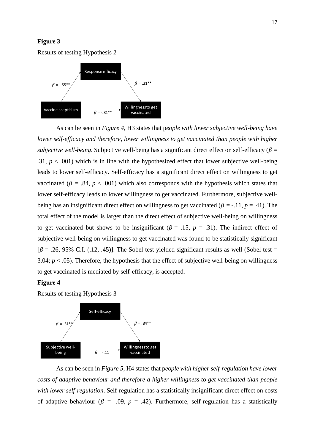# **Figure 3**

Results of testing Hypothesis 2



As can be seen in *Figure 4*, H3 states that p*eople with lower subjective well-being have lower self-efficacy and therefore, lower willingness to get vaccinated than people with higher subjective well-being.* Subjective well-being has a significant direct effect on self-efficacy ( $\beta$  = .31,  $p < .001$ ) which is in line with the hypothesized effect that lower subjective well-being leads to lower self-efficacy. Self-efficacy has a significant direct effect on willingness to get vaccinated ( $\beta$  = .84,  $p < .001$ ) which also corresponds with the hypothesis which states that lower self-efficacy leads to lower willingness to get vaccinated. Furthermore, subjective wellbeing has an insignificant direct effect on willingness to get vaccinated ( $\beta$  = -.11, *p* = .41). The total effect of the model is larger than the direct effect of subjective well-being on willingness to get vaccinated but shows to be insignificant ( $\beta$  = .15,  $p$  = .31). The indirect effect of subjective well-being on willingness to get vaccinated was found to be statistically significant  $\beta$  = .26, 95% C.I. (.12, .45)]. The Sobel test yielded significant results as well (Sobel test = 3.04;  $p < .05$ ). Therefore, the hypothesis that the effect of subjective well-being on willingness to get vaccinated is mediated by self-efficacy, is accepted.

### **Figure 4**

Results of testing Hypothesis 3



As can be seen in *Figure 5*, H4 states that p*eople with higher self-regulation have lower costs of adaptive behaviour and therefore a higher willingness to get vaccinated than people with lower self-regulation*. Self-regulation has a statistically insignificant direct effect on costs of adaptive behaviour ( $\beta$  = -.09,  $p$  = .42). Furthermore, self-regulation has a statistically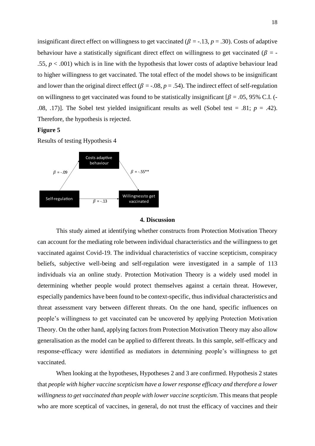insignificant direct effect on willingness to get vaccinated ( $\beta = -13$ ,  $p = 0.30$ ). Costs of adaptive behaviour have a statistically significant direct effect on willingness to get vaccinated ( $\beta$  = -.55,  $p < .001$ ) which is in line with the hypothesis that lower costs of adaptive behaviour lead to higher willingness to get vaccinated. The total effect of the model shows to be insignificant and lower than the original direct effect ( $\beta = -.08$ ,  $p = .54$ ). The indirect effect of self-regulation on willingness to get vaccinated was found to be statistically insignificant  $[16 = .05, 95\% \text{ C}$ . I. (-.08, .17). The Sobel test yielded insignificant results as well (Sobel test  $= .81$ ;  $p = .42$ ). Therefore, the hypothesis is rejected.

#### **Figure 5**

Results of testing Hypothesis 4



#### **4. Discussion**

This study aimed at identifying whether constructs from Protection Motivation Theory can account for the mediating role between individual characteristics and the willingness to get vaccinated against Covid-19. The individual characteristics of vaccine scepticism, conspiracy beliefs, subjective well-being and self-regulation were investigated in a sample of 113 individuals via an online study. Protection Motivation Theory is a widely used model in determining whether people would protect themselves against a certain threat. However, especially pandemics have been found to be context-specific, thus individual characteristics and threat assessment vary between different threats. On the one hand, specific influences on people's willingness to get vaccinated can be uncovered by applying Protection Motivation Theory. On the other hand, applying factors from Protection Motivation Theory may also allow generalisation as the model can be applied to different threats. In this sample, self-efficacy and response-efficacy were identified as mediators in determining people's willingness to get vaccinated.

When looking at the hypotheses, Hypotheses 2 and 3 are confirmed. Hypothesis 2 states that *people with higher vaccine scepticism have a lower response efficacy and therefore a lower willingness to get vaccinated than people with lower vaccine scepticism*. This means that people who are more sceptical of vaccines, in general, do not trust the efficacy of vaccines and their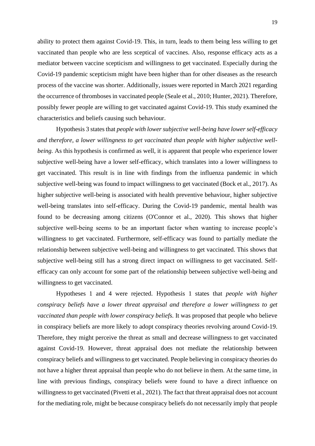ability to protect them against Covid-19. This, in turn, leads to them being less willing to get vaccinated than people who are less sceptical of vaccines. Also, response efficacy acts as a mediator between vaccine scepticism and willingness to get vaccinated. Especially during the Covid-19 pandemic scepticism might have been higher than for other diseases as the research process of the vaccine was shorter. Additionally, issues were reported in March 2021 regarding the occurrence of thromboses in vaccinated people (Seale et al., 2010; Hunter, 2021). Therefore, possibly fewer people are willing to get vaccinated against Covid-19. This study examined the characteristics and beliefs causing such behaviour.

Hypothesis 3 states that *people with lower subjective well-being have lower self-efficacy and therefore, a lower willingness to get vaccinated than people with higher subjective wellbeing.* As this hypothesis is confirmed as well, it is apparent that people who experience lower subjective well-being have a lower self-efficacy, which translates into a lower willingness to get vaccinated. This result is in line with findings from the influenza pandemic in which subjective well-being was found to impact willingness to get vaccinated (Bock et al., 2017). As higher subjective well-being is associated with health preventive behaviour, higher subjective well-being translates into self-efficacy. During the Covid-19 pandemic, mental health was found to be decreasing among citizens (O'Connor et al., 2020). This shows that higher subjective well-being seems to be an important factor when wanting to increase people's willingness to get vaccinated. Furthermore, self-efficacy was found to partially mediate the relationship between subjective well-being and willingness to get vaccinated. This shows that subjective well-being still has a strong direct impact on willingness to get vaccinated. Selfefficacy can only account for some part of the relationship between subjective well-being and willingness to get vaccinated.

Hypotheses 1 and 4 were rejected. Hypothesis 1 states that *people with higher conspiracy beliefs have a lower threat appraisal and therefore a lower willingness to get vaccinated than people with lower conspiracy beliefs.* It was proposed that people who believe in conspiracy beliefs are more likely to adopt conspiracy theories revolving around Covid-19. Therefore, they might perceive the threat as small and decrease willingness to get vaccinated against Covid-19. However, threat appraisal does not mediate the relationship between conspiracy beliefs and willingness to get vaccinated. People believing in conspiracy theories do not have a higher threat appraisal than people who do not believe in them. At the same time, in line with previous findings, conspiracy beliefs were found to have a direct influence on willingness to get vaccinated (Pivetti et al., 2021). The fact that threat appraisal does not account for the mediating role, might be because conspiracy beliefs do not necessarily imply that people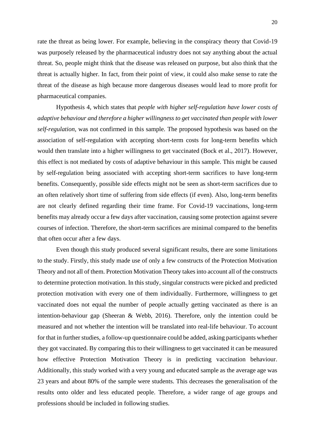rate the threat as being lower. For example, believing in the conspiracy theory that Covid-19 was purposely released by the pharmaceutical industry does not say anything about the actual threat. So, people might think that the disease was released on purpose, but also think that the threat is actually higher. In fact, from their point of view, it could also make sense to rate the threat of the disease as high because more dangerous diseases would lead to more profit for pharmaceutical companies.

Hypothesis 4, which states that *people with higher self-regulation have lower costs of adaptive behaviour and therefore a higher willingness to get vaccinated than people with lower self-regulation*, was not confirmed in this sample*.* The proposed hypothesis was based on the association of self-regulation with accepting short-term costs for long-term benefits which would then translate into a higher willingness to get vaccinated (Bock et al., 2017). However, this effect is not mediated by costs of adaptive behaviour in this sample. This might be caused by self-regulation being associated with accepting short-term sacrifices to have long-term benefits. Consequently, possible side effects might not be seen as short-term sacrifices due to an often relatively short time of suffering from side effects (if even). Also, long-term benefits are not clearly defined regarding their time frame. For Covid-19 vaccinations, long-term benefits may already occur a few days after vaccination, causing some protection against severe courses of infection. Therefore, the short-term sacrifices are minimal compared to the benefits that often occur after a few days.

Even though this study produced several significant results, there are some limitations to the study. Firstly, this study made use of only a few constructs of the Protection Motivation Theory and not all of them. Protection Motivation Theory takes into account all of the constructs to determine protection motivation. In this study, singular constructs were picked and predicted protection motivation with every one of them individually. Furthermore, willingness to get vaccinated does not equal the number of people actually getting vaccinated as there is an intention-behaviour gap (Sheeran & Webb, 2016). Therefore, only the intention could be measured and not whether the intention will be translated into real-life behaviour. To account for that in further studies, a follow-up questionnaire could be added, asking participants whether they got vaccinated. By comparing this to their willingness to get vaccinated it can be measured how effective Protection Motivation Theory is in predicting vaccination behaviour. Additionally, this study worked with a very young and educated sample as the average age was 23 years and about 80% of the sample were students. This decreases the generalisation of the results onto older and less educated people. Therefore, a wider range of age groups and professions should be included in following studies.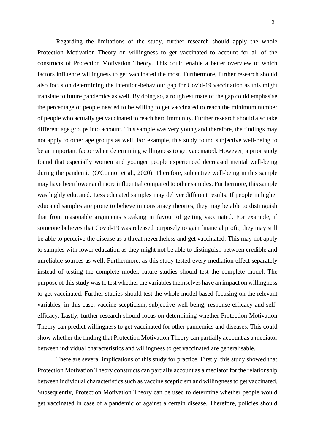Regarding the limitations of the study, further research should apply the whole Protection Motivation Theory on willingness to get vaccinated to account for all of the constructs of Protection Motivation Theory. This could enable a better overview of which factors influence willingness to get vaccinated the most. Furthermore, further research should also focus on determining the intention-behaviour gap for Covid-19 vaccination as this might translate to future pandemics as well. By doing so, a rough estimate of the gap could emphasise the percentage of people needed to be willing to get vaccinated to reach the minimum number of people who actually get vaccinated to reach herd immunity. Further research should also take different age groups into account. This sample was very young and therefore, the findings may not apply to other age groups as well. For example, this study found subjective well-being to be an important factor when determining willingness to get vaccinated. However, a prior study found that especially women and younger people experienced decreased mental well-being during the pandemic (O'Connor et al., 2020). Therefore, subjective well-being in this sample may have been lower and more influential compared to other samples. Furthermore, this sample was highly educated. Less educated samples may deliver different results. If people in higher educated samples are prone to believe in conspiracy theories, they may be able to distinguish that from reasonable arguments speaking in favour of getting vaccinated. For example, if someone believes that Covid-19 was released purposely to gain financial profit, they may still be able to perceive the disease as a threat nevertheless and get vaccinated. This may not apply to samples with lower education as they might not be able to distinguish between credible and unreliable sources as well. Furthermore, as this study tested every mediation effect separately instead of testing the complete model, future studies should test the complete model. The purpose of this study was to test whether the variables themselves have an impact on willingness to get vaccinated. Further studies should test the whole model based focusing on the relevant variables, in this case, vaccine scepticism, subjective well-being, response-efficacy and selfefficacy. Lastly, further research should focus on determining whether Protection Motivation Theory can predict willingness to get vaccinated for other pandemics and diseases. This could show whether the finding that Protection Motivation Theory can partially account as a mediator between individual characteristics and willingness to get vaccinated are generalisable.

There are several implications of this study for practice. Firstly, this study showed that Protection Motivation Theory constructs can partially account as a mediator for the relationship between individual characteristics such as vaccine scepticism and willingness to get vaccinated. Subsequently, Protection Motivation Theory can be used to determine whether people would get vaccinated in case of a pandemic or against a certain disease. Therefore, policies should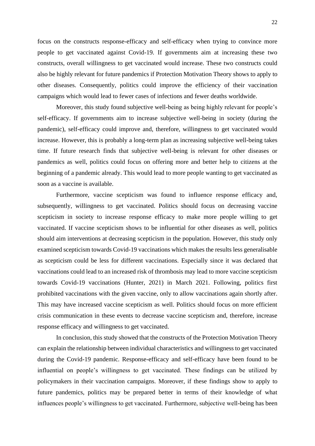focus on the constructs response-efficacy and self-efficacy when trying to convince more people to get vaccinated against Covid-19. If governments aim at increasing these two constructs, overall willingness to get vaccinated would increase. These two constructs could also be highly relevant for future pandemics if Protection Motivation Theory shows to apply to other diseases. Consequently, politics could improve the efficiency of their vaccination campaigns which would lead to fewer cases of infections and fewer deaths worldwide.

Moreover, this study found subjective well-being as being highly relevant for people's self-efficacy. If governments aim to increase subjective well-being in society (during the pandemic), self-efficacy could improve and, therefore, willingness to get vaccinated would increase. However, this is probably a long-term plan as increasing subjective well-being takes time. If future research finds that subjective well-being is relevant for other diseases or pandemics as well, politics could focus on offering more and better help to citizens at the beginning of a pandemic already. This would lead to more people wanting to get vaccinated as soon as a vaccine is available.

Furthermore, vaccine scepticism was found to influence response efficacy and, subsequently, willingness to get vaccinated. Politics should focus on decreasing vaccine scepticism in society to increase response efficacy to make more people willing to get vaccinated. If vaccine scepticism shows to be influential for other diseases as well, politics should aim interventions at decreasing scepticism in the population. However, this study only examined scepticism towards Covid-19 vaccinations which makes the results less generalisable as scepticism could be less for different vaccinations. Especially since it was declared that vaccinations could lead to an increased risk of thrombosis may lead to more vaccine scepticism towards Covid-19 vaccinations (Hunter, 2021) in March 2021. Following, politics first prohibited vaccinations with the given vaccine, only to allow vaccinations again shortly after. This may have increased vaccine scepticism as well. Politics should focus on more efficient crisis communication in these events to decrease vaccine scepticism and, therefore, increase response efficacy and willingness to get vaccinated.

In conclusion, this study showed that the constructs of the Protection Motivation Theory can explain the relationship between individual characteristics and willingness to get vaccinated during the Covid-19 pandemic. Response-efficacy and self-efficacy have been found to be influential on people's willingness to get vaccinated. These findings can be utilized by policymakers in their vaccination campaigns. Moreover, if these findings show to apply to future pandemics, politics may be prepared better in terms of their knowledge of what influences people's willingness to get vaccinated. Furthermore, subjective well-being has been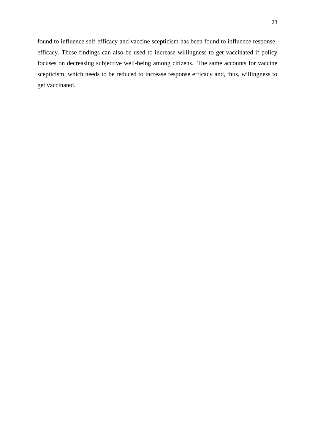found to influence self-efficacy and vaccine scepticism has been found to influence responseefficacy. These findings can also be used to increase willingness to get vaccinated if policy focuses on decreasing subjective well-being among citizens. The same accounts for vaccine scepticism, which needs to be reduced to increase response efficacy and, thus, willingness to get vaccinated.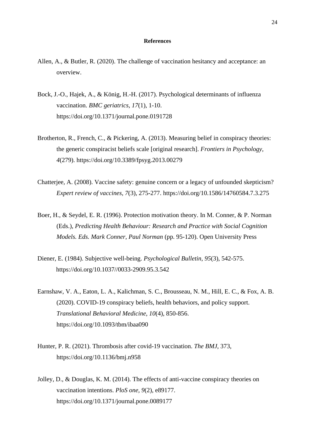#### **References**

- Allen, A., & Butler, R. (2020). The challenge of vaccination hesitancy and acceptance: an overview.
- Bock, J.-O., Hajek, A., & König, H.-H. (2017). Psychological determinants of influenza vaccination. *BMC geriatrics, 17*(1), 1-10. https://doi.org/10.1371/journal.pone.0191728
- Brotherton, R., French, C., & Pickering, A. (2013). Measuring belief in conspiracy theories: the generic conspiracist beliefs scale [original research]. *Frontiers in Psychology, 4*(279). https://doi.org/10.3389/fpsyg.2013.00279
- Chatterjee, A. (2008). Vaccine safety: genuine concern or a legacy of unfounded skepticism? *Expert review of vaccines, 7*(3), 275-277. https://doi.org/10.1586/14760584.7.3.275
- Boer, H., & Seydel, E. R. (1996). Protection motivation theory. In M. Conner, & P. Norman (Eds.), *Predicting Health Behaviour: Research and Practice with Social Cognition Models. Eds. Mark Conner, Paul Norman* (pp. 95-120). Open University Press
- Diener, E. (1984). Subjective well-being. *Psychological Bulletin, 95*(3), 542-575. https://doi.org/10.1037//0033-2909.95.3.542
- Earnshaw, V. A., Eaton, L. A., Kalichman, S. C., Brousseau, N. M., Hill, E. C., & Fox, A. B. (2020). COVID-19 conspiracy beliefs, health behaviors, and policy support. *Translational Behavioral Medicine, 10*(4), 850-856. https://doi.org/10.1093/tbm/ibaa090
- Hunter, P. R. (2021). Thrombosis after covid-19 vaccination. *The BMJ*, 373, https://doi.org/10.1136/bmj.n958
- Jolley, D., & Douglas, K. M. (2014). The effects of anti-vaccine conspiracy theories on vaccination intentions. *PloS one, 9*(2), e89177. https://doi.org/10.1371/journal.pone.0089177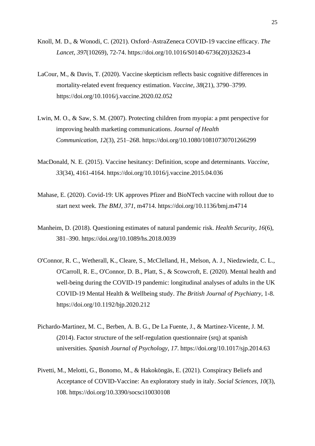- Knoll, M. D., & Wonodi, C. (2021). Oxford–AstraZeneca COVID-19 vaccine efficacy. *The Lancet, 397*(10269), 72-74. https://doi.org/10.1016/S0140-6736(20)32623-4
- LaCour, M., & Davis, T. (2020). Vaccine skepticism reflects basic cognitive differences in mortality-related event frequency estimation. *Vaccine*, *38*(21), 3790–3799. https://doi.org/10.1016/j.vaccine.2020.02.052
- Lwin, M. O., & Saw, S. M. (2007). Protecting children from myopia: a pmt perspective for improving health marketing communications. *Journal of Health Communication*, *12*(3), 251–268. https://doi.org/10.1080/10810730701266299
- MacDonald, N. E. (2015). Vaccine hesitancy: Definition, scope and determinants. *Vaccine, 33*(34), 4161-4164. https://doi.org/10.1016/j.vaccine.2015.04.036
- Mahase, E. (2020). Covid-19: UK approves Pfizer and BioNTech vaccine with rollout due to start next week. *The BMJ, 371*, m4714. https://doi.org/10.1136/bmj.m4714
- Manheim, D. (2018). Questioning estimates of natural pandemic risk. *Health Security*, *16*(6), 381–390. https://doi.org/10.1089/hs.2018.0039
- O'Connor, R. C., Wetherall, K., Cleare, S., McClelland, H., Melson, A. J., Niedzwiedz, C. L., O'Carroll, R. E., O'Connor, D. B., Platt, S., & Scowcroft, E. (2020). Mental health and well-being during the COVID-19 pandemic: longitudinal analyses of adults in the UK COVID-19 Mental Health & Wellbeing study. *The British Journal of Psychiatry*, 1-8. https://doi.org/10.1192/bjp.2020.212
- Pichardo-Martinez, M. C., Berben, A. B. G., De La Fuente, J., & Martinez-Vicente, J. M. (2014). Factor structure of the self-regulation questionnaire (srq) at spanish universities. *Spanish Journal of Psychology*, *17*. https://doi.org/10.1017/sjp.2014.63
- Pivetti, M., Melotti, G., Bonomo, M., & Hakoköngäs, E. (2021). Conspiracy Beliefs and Acceptance of COVID-Vaccine: An exploratory study in italy. *Social Sciences, 10*(3), 108. https://doi.org/10.3390/socsci10030108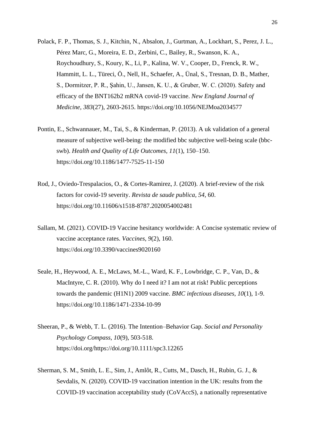- Polack, F. P., Thomas, S. J., Kitchin, N., Absalon, J., Gurtman, A., Lockhart, S., Perez, J. L., Pérez Marc, G., Moreira, E. D., Zerbini, C., Bailey, R., Swanson, K. A., Roychoudhury, S., Koury, K., Li, P., Kalina, W. V., Cooper, D., Frenck, R. W., Hammitt, L. L., Türeci, Ö., Nell, H., Schaefer, A., Ünal, S., Tresnan, D. B., Mather, S., Dormitzer, P. R., Şahin, U., Jansen, K. U., & Gruber, W. C. (2020). Safety and efficacy of the BNT162b2 mRNA covid-19 vaccine. *New England Journal of Medicine, 383*(27), 2603-2615. https://doi.org/10.1056/NEJMoa2034577
- Pontin, E., Schwannauer, M., Tai, S., & Kinderman, P. (2013). A uk validation of a general measure of subjective well-being: the modified bbc subjective well-being scale (bbcswb). *Health and Quality of Life Outcomes*, *11*(1), 150–150. https://doi.org/10.1186/1477-7525-11-150
- Rod, J., Oviedo-Trespalacios, O., & Cortes-Ramirez, J. (2020). A brief-review of the risk factors for covid-19 severity. *Revista de saude publica, 54*, 60. https://doi.org/10.11606/s1518-8787.2020054002481
- Sallam, M. (2021). COVID-19 Vaccine hesitancy worldwide: A Concise systematic review of vaccine acceptance rates. *Vaccines, 9*(2), 160. https://doi.org/10.3390/vaccines9020160
- Seale, H., Heywood, A. E., McLaws, M.-L., Ward, K. F., Lowbridge, C. P., Van, D., & MacIntyre, C. R. (2010). Why do I need it? I am not at risk! Public perceptions towards the pandemic (H1N1) 2009 vaccine. *BMC infectious diseases, 10*(1), 1-9. https://doi.org/10.1186/1471-2334-10-99
- Sheeran, P., & Webb, T. L. (2016). The Intention–Behavior Gap. *Social and Personality Psychology Compass, 10*(9), 503-518. https://doi.org/https://doi.org/10.1111/spc3.12265
- Sherman, S. M., Smith, L. E., Sim, J., Amlôt, R., Cutts, M., Dasch, H., Rubin, G. J., & Sevdalis, N. (2020). COVID-19 vaccination intention in the UK: results from the COVID-19 vaccination acceptability study (CoVAccS), a nationally representative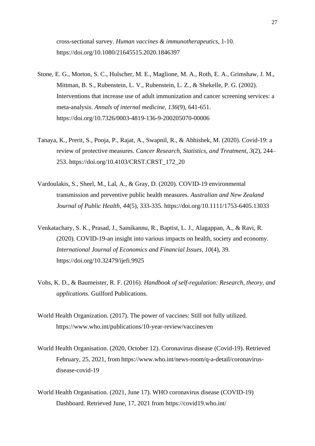cross-sectional survey. *Human vaccines & immunotherapeutics*, 1-10. https://doi.org/10.1080/21645515.2020.1846397

- Stone, E. G., Morton, S. C., Hulscher, M. E., Maglione, M. A., Roth, E. A., Grimshaw, J. M., Mittman, B. S., Rubenstein, L. V., Rubenstein, L. Z., & Shekelle, P. G. (2002). Interventions that increase use of adult immunization and cancer screening services: a meta-analysis. *Annals of internal medicine, 136*(9), 641-651. https://doi.org/10.7326/0003-4819-136-9-200205070-00006
- Tanaya, K., Prerit, S., Pooja, P., Rajat, A., Swapnil, R., & Abhishek, M. (2020). Covid-19: a review of protective measures. *Cancer Research, Statistics, and Treatment*, *3*(2), 244– 253. https://doi.org/10.4103/CRST.CRST\_172\_20
- Vardoulakis, S., Sheel, M., Lal, A., & Gray, D. (2020). COVID-19 environmental transmission and preventive public health measures. *Australian and New Zealand Journal of Public Health, 44*(5), 333-335. https://doi.org/10.1111/1753-6405.13033
- Venkatachary, S. K., Prasad, J., Samikannu, R., Baptist, L. J., Alagappan, A., & Ravi, R. (2020). COVID-19-an insight into various impacts on health, society and economy. *International Journal of Economics and Financial Issues, 10*(4), 39. https://doi.org/10.32479/ijefi.9925
- Vohs, K. D., & Baumeister, R. F. (2016). *Handbook of self-regulation: Research, theory, and applications*. Guilford Publications.
- World Health Organization. (2017). The power of vaccines: Still not fully utilized. https://www.who.int/publications/10-year-review/vaccines/en
- World Health Organisation. (2020, October 12). Coronavirus disease (Covid-19). Retrieved February, 25, 2021, from https://www.who.int/news-room/q-a-detail/coronavirusdisease-covid-19
- World Health Organisation. (2021, June 17). WHO coronavirus disease (COVID-19) Dashboard. Retrieved June, 17, 2021 from https://covid19.who.int/